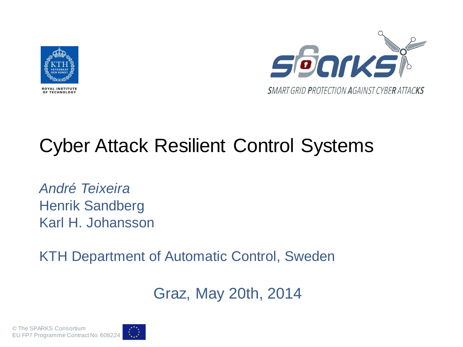



#### Cyber Attack Resilient Control Systems

*André Teixeira* Henrik Sandberg Karl H. Johansson

KTH Department of Automatic Control, Sweden

Graz, May 20th, 2014

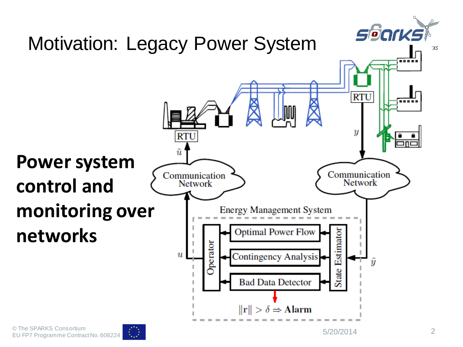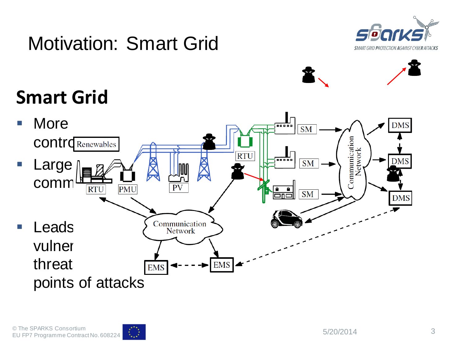

## Motivation: Smart Grid



### **Smart Grid**



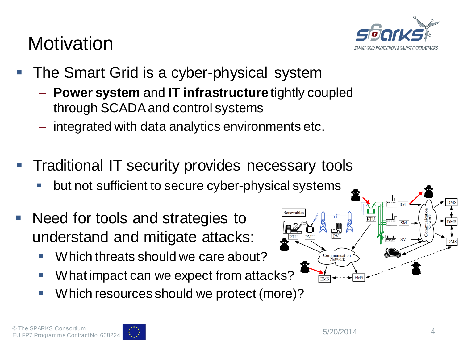#### **Motivation**



- The Smart Grid is a cyber-physical system
	- **Power system** and **IT infrastructure** tightly coupled through SCADA and control systems
	- integrated with data analytics environments etc.
- Traditional IT security provides necessary tools
	- but not sufficient to secure cyber-physical systems
- Need for tools and strategies to understand and mitigate attacks:
	- **Which threats should we care about?**
	- **What impact can we expect from attacks?**
	- Which resources should we protect (more)?



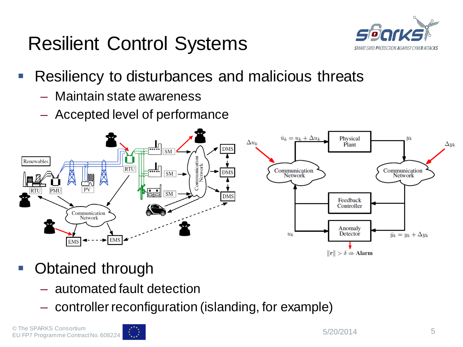## Resilient Control Systems



- Resiliency to disturbances and malicious threats
	- Maintain state awareness
	- Accepted level of performance



- Obtained through
	- automated fault detection
	- controller reconfiguration (islanding, for example)

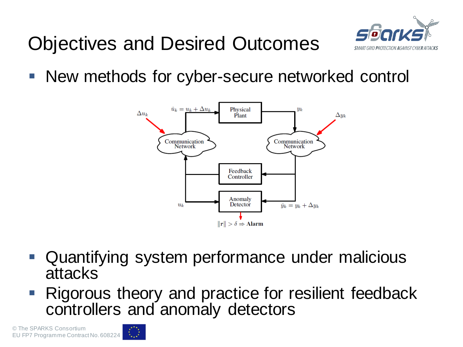



■ New methods for cyber-secure networked control



- Quantifying system performance under malicious attacks
- Rigorous theory and practice for resilient feedback controllers and anomaly detectors

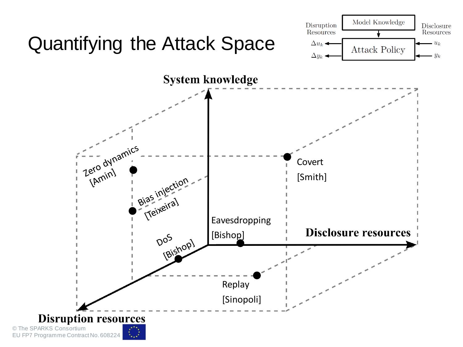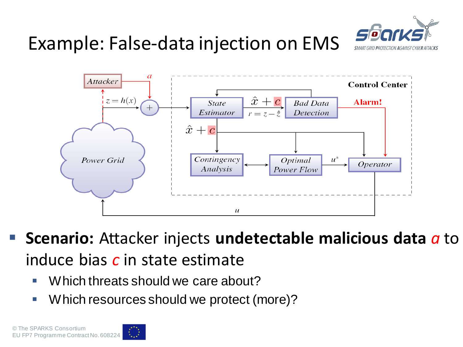

### Example: False-data injection on EMS



- **Scenario:** Attacker injects **undetectable malicious data** *a* to induce bias *c* in state estimate
	- Which threats should we care about?
	- Which resources should we protect (more)?

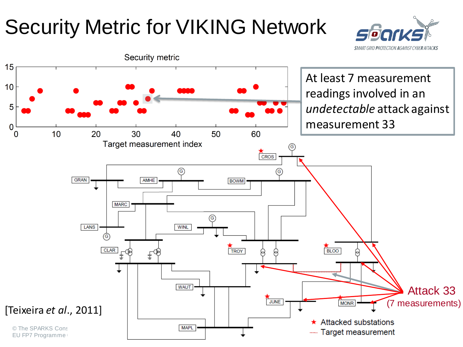# Security Metric for VIKING Network



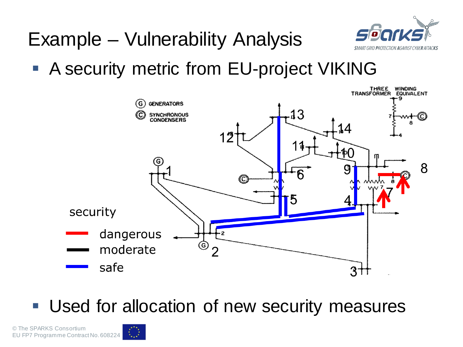

### Example – Vulnerability Analysis

**A security metric from EU-project VIKING** 



**Used for allocation of new security measures**